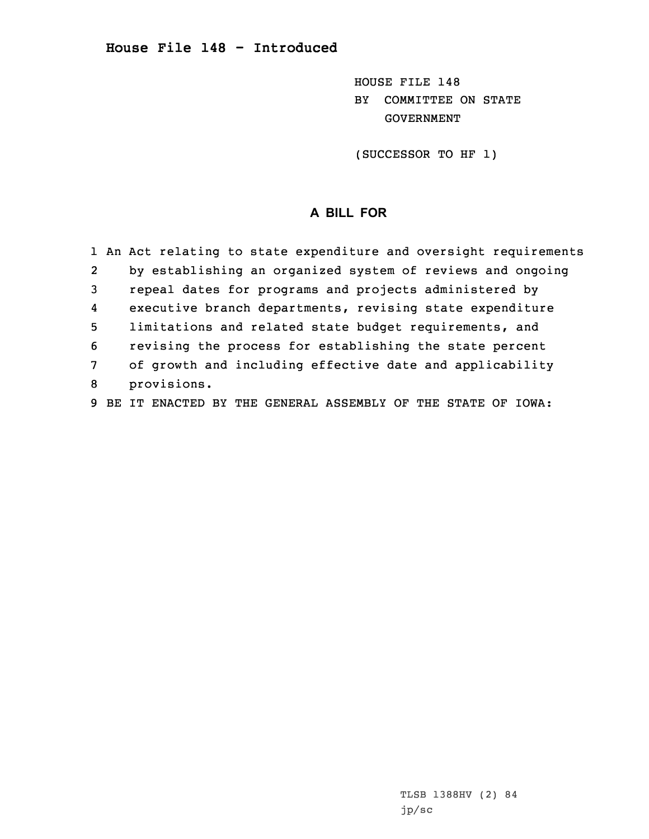## **House File 148 - Introduced**

HOUSE FILE 148 BY COMMITTEE ON STATE GOVERNMENT

(SUCCESSOR TO HF 1)

# **A BILL FOR**

|                | 1 An Act relating to state expenditure and oversight requirements |
|----------------|-------------------------------------------------------------------|
| $\overline{2}$ | by establishing an organized system of reviews and ongoing        |
| 3              | repeal dates for programs and projects administered by            |
| 4              | executive branch departments, revising state expenditure          |
| 5              | limitations and related state budget requirements, and            |
| 6              | revising the process for establishing the state percent           |
| 7              | of growth and including effective date and applicability          |
| 8              | provisions.                                                       |
| 9              | IT ENACTED BY THE GENERAL ASSEMBLY OF THE STATE OF IOWA:          |

TLSB 1388HV (2) 84 jp/sc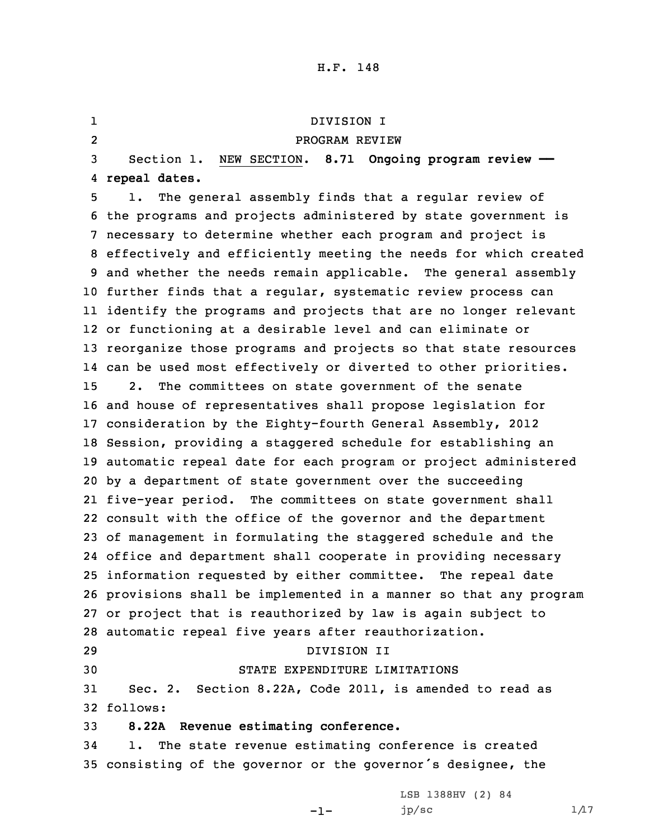1 DIVISION I 2 PROGRAM REVIEW Section 1. NEW SECTION. **8.71 Ongoing program review —— repeal dates.** 1. The general assembly finds that <sup>a</sup> regular review of the programs and projects administered by state government is necessary to determine whether each program and project is effectively and efficiently meeting the needs for which created and whether the needs remain applicable. The general assembly further finds that <sup>a</sup> regular, systematic review process can identify the programs and projects that are no longer relevant or functioning at <sup>a</sup> desirable level and can eliminate or reorganize those programs and projects so that state resources can be used most effectively or diverted to other priorities. 2. The committees on state government of the senate and house of representatives shall propose legislation for consideration by the Eighty-fourth General Assembly, 2012 Session, providing <sup>a</sup> staggered schedule for establishing an automatic repeal date for each program or project administered by <sup>a</sup> department of state government over the succeeding five-year period. The committees on state government shall consult with the office of the governor and the department of management in formulating the staggered schedule and the office and department shall cooperate in providing necessary information requested by either committee. The repeal date provisions shall be implemented in <sup>a</sup> manner so that any program or project that is reauthorized by law is again subject to automatic repeal five years after reauthorization. DIVISION II STATE EXPENDITURE LIMITATIONS Sec. 2. Section 8.22A, Code 2011, is amended to read as 32 follows: **8.22A Revenue estimating conference.** 1. The state revenue estimating conference is created consisting of the governor or the governor's designee, the

-1-

LSB 1388HV (2) 84 jp/sc  $1/17$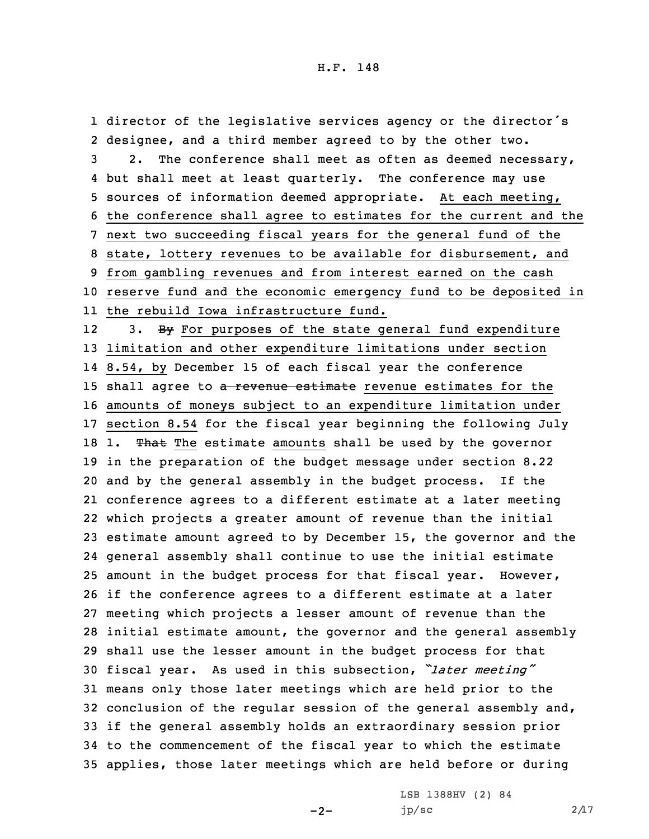director of the legislative services agency or the director's designee, and <sup>a</sup> third member agreed to by the other two. 2. The conference shall meet as often as deemed necessary, but shall meet at least quarterly. The conference may use sources of information deemed appropriate. At each meeting, the conference shall agree to estimates for the current and the next two succeeding fiscal years for the general fund of the state, lottery revenues to be available for disbursement, and from gambling revenues and from interest earned on the cash reserve fund and the economic emergency fund to be deposited in the rebuild Iowa infrastructure fund.

123. By For purposes of the state general fund expenditure limitation and other expenditure limitations under section 8.54, by December 15 of each fiscal year the conference 15 shall agree to a revenue estimate revenue estimates for the amounts of moneys subject to an expenditure limitation under section 8.54 for the fiscal year beginning the following July 18 1. That The estimate amounts shall be used by the governor in the preparation of the budget message under section 8.22 and by the general assembly in the budget process. If the conference agrees to <sup>a</sup> different estimate at <sup>a</sup> later meeting which projects <sup>a</sup> greater amount of revenue than the initial estimate amount agreed to by December 15, the governor and the general assembly shall continue to use the initial estimate amount in the budget process for that fiscal year. However, if the conference agrees to <sup>a</sup> different estimate at <sup>a</sup> later meeting which projects <sup>a</sup> lesser amount of revenue than the initial estimate amount, the governor and the general assembly shall use the lesser amount in the budget process for that fiscal year. As used in this subsection, *"later meeting"* means only those later meetings which are held prior to the conclusion of the regular session of the general assembly and, if the general assembly holds an extraordinary session prior to the commencement of the fiscal year to which the estimate applies, those later meetings which are held before or during

 $-2-$ 

LSB 1388HV (2) 84 jp/sc  $2/17$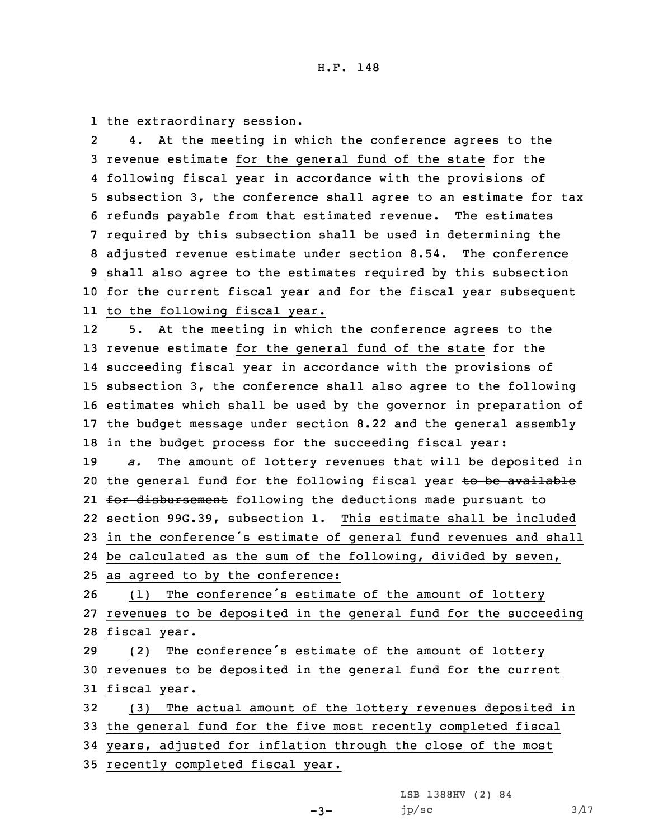1 the extraordinary session.

2 4. At the meeting in which the conference agrees to the revenue estimate for the general fund of the state for the following fiscal year in accordance with the provisions of subsection 3, the conference shall agree to an estimate for tax refunds payable from that estimated revenue. The estimates required by this subsection shall be used in determining the adjusted revenue estimate under section 8.54. The conference shall also agree to the estimates required by this subsection for the current fiscal year and for the fiscal year subsequent to the following fiscal year.

12 5. At the meeting in which the conference agrees to the revenue estimate for the general fund of the state for the succeeding fiscal year in accordance with the provisions of subsection 3, the conference shall also agree to the following estimates which shall be used by the governor in preparation of the budget message under section 8.22 and the general assembly in the budget process for the succeeding fiscal year: *a.* The amount of lottery revenues that will be deposited in

20 the general fund for the following fiscal year to be available 21 <del>for disbursement</del> following the deductions made pursuant to 22 section 99G.39, subsection 1. This estimate shall be included <sup>23</sup> in the conference's estimate of general fund revenues and shall

24 be calculated as the sum of the following, divided by seven,

25 as agreed to by the conference:

<sup>26</sup> (1) The conference's estimate of the amount of lottery 27 revenues to be deposited in the general fund for the succeeding 28 fiscal year.

<sup>29</sup> (2) The conference's estimate of the amount of lottery 30 revenues to be deposited in the general fund for the current 31 fiscal year.

 (3) The actual amount of the lottery revenues deposited in the general fund for the five most recently completed fiscal years, adjusted for inflation through the close of the most recently completed fiscal year.

> LSB 1388HV (2) 84 jp/sc  $3/17$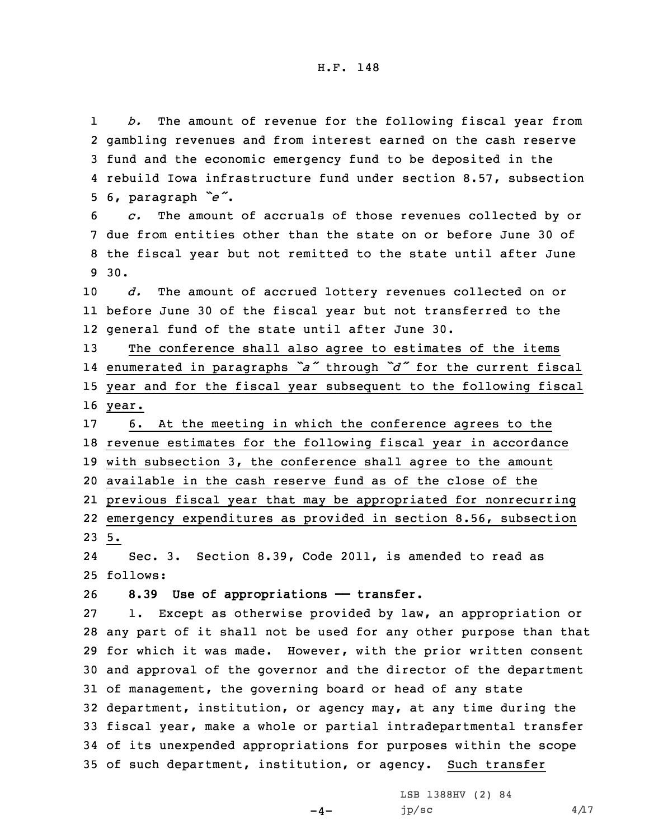1 *b.* The amount of revenue for the following fiscal year from gambling revenues and from interest earned on the cash reserve fund and the economic emergency fund to be deposited in the rebuild Iowa infrastructure fund under section 8.57, subsection 6, paragraph *"e"*.

 *c.* The amount of accruals of those revenues collected by or due from entities other than the state on or before June 30 of the fiscal year but not remitted to the state until after June 9 30.

10 *d.* The amount of accrued lottery revenues collected on or 11 before June 30 of the fiscal year but not transferred to the 12 general fund of the state until after June 30.

 The conference shall also agree to estimates of the items enumerated in paragraphs *"a"* through *"d"* for the current fiscal year and for the fiscal year subsequent to the following fiscal 16 year.

 6. At the meeting in which the conference agrees to the revenue estimates for the following fiscal year in accordance with subsection 3, the conference shall agree to the amount available in the cash reserve fund as of the close of the previous fiscal year that may be appropriated for nonrecurring emergency expenditures as provided in section 8.56, subsection 23 5.

24 Sec. 3. Section 8.39, Code 2011, is amended to read as 25 follows:

26 **8.39 Use of appropriations —— transfer.**

 1. Except as otherwise provided by law, an appropriation or any part of it shall not be used for any other purpose than that for which it was made. However, with the prior written consent and approval of the governor and the director of the department of management, the governing board or head of any state department, institution, or agency may, at any time during the fiscal year, make <sup>a</sup> whole or partial intradepartmental transfer of its unexpended appropriations for purposes within the scope of such department, institution, or agency. Such transfer

 $-4-$ 

LSB 1388HV (2) 84 jp/sc  $4/17$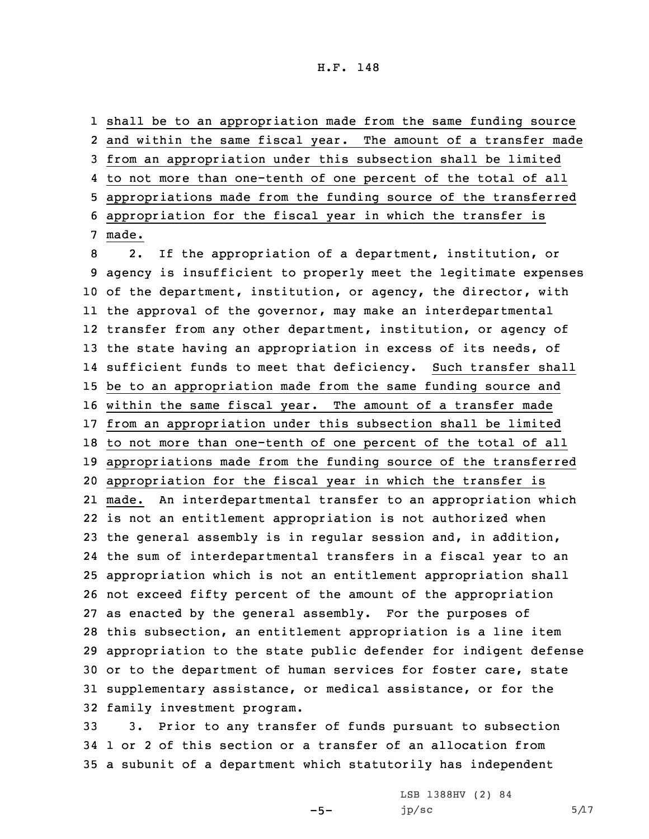shall be to an appropriation made from the same funding source and within the same fiscal year. The amount of <sup>a</sup> transfer made from an appropriation under this subsection shall be limited to not more than one-tenth of one percent of the total of all appropriations made from the funding source of the transferred appropriation for the fiscal year in which the transfer is 7 made.

 2. If the appropriation of <sup>a</sup> department, institution, or agency is insufficient to properly meet the legitimate expenses of the department, institution, or agency, the director, with the approval of the governor, may make an interdepartmental transfer from any other department, institution, or agency of 13 the state having an appropriation in excess of its needs, of sufficient funds to meet that deficiency. Such transfer shall be to an appropriation made from the same funding source and within the same fiscal year. The amount of <sup>a</sup> transfer made from an appropriation under this subsection shall be limited to not more than one-tenth of one percent of the total of all appropriations made from the funding source of the transferred appropriation for the fiscal year in which the transfer is made. An interdepartmental transfer to an appropriation which is not an entitlement appropriation is not authorized when the general assembly is in regular session and, in addition, the sum of interdepartmental transfers in <sup>a</sup> fiscal year to an appropriation which is not an entitlement appropriation shall not exceed fifty percent of the amount of the appropriation as enacted by the general assembly. For the purposes of this subsection, an entitlement appropriation is <sup>a</sup> line item appropriation to the state public defender for indigent defense or to the department of human services for foster care, state supplementary assistance, or medical assistance, or for the family investment program.

33 3. Prior to any transfer of funds pursuant to subsection 34 1 or 2 of this section or <sup>a</sup> transfer of an allocation from 35 <sup>a</sup> subunit of <sup>a</sup> department which statutorily has independent

 $-5-$ 

LSB 1388HV (2) 84 jp/sc  $5/17$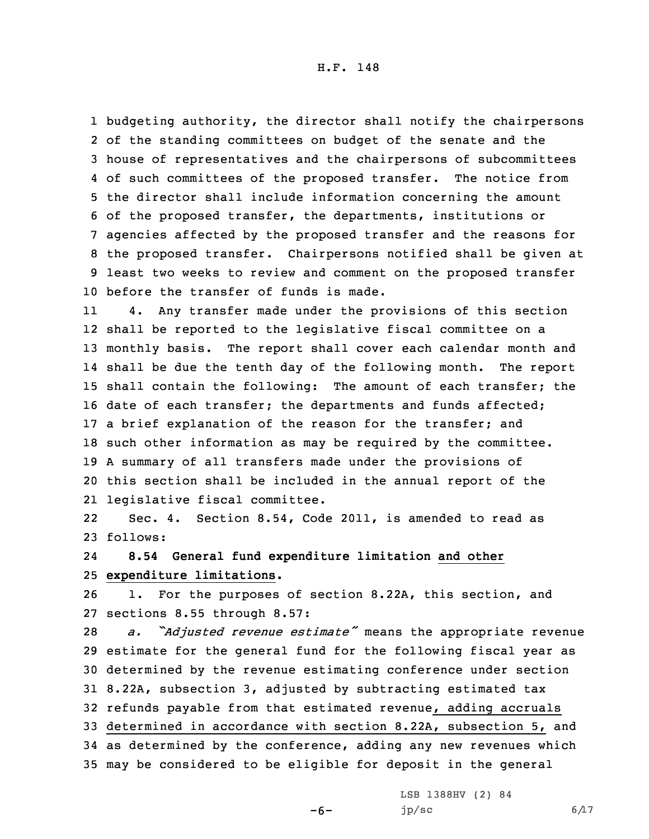budgeting authority, the director shall notify the chairpersons of the standing committees on budget of the senate and the house of representatives and the chairpersons of subcommittees of such committees of the proposed transfer. The notice from the director shall include information concerning the amount of the proposed transfer, the departments, institutions or agencies affected by the proposed transfer and the reasons for the proposed transfer. Chairpersons notified shall be given at least two weeks to review and comment on the proposed transfer before the transfer of funds is made.

11 4. Any transfer made under the provisions of this section shall be reported to the legislative fiscal committee on <sup>a</sup> monthly basis. The report shall cover each calendar month and shall be due the tenth day of the following month. The report shall contain the following: The amount of each transfer; the date of each transfer; the departments and funds affected; <sup>a</sup> brief explanation of the reason for the transfer; and such other information as may be required by the committee. <sup>A</sup> summary of all transfers made under the provisions of this section shall be included in the annual report of the legislative fiscal committee.

22 Sec. 4. Section 8.54, Code 2011, is amended to read as 23 follows:

24 **8.54 General fund expenditure limitation and other** 25 **expenditure limitations.**

26 1. For the purposes of section 8.22A, this section, and 27 sections 8.55 through 8.57:

 *a. "Adjusted revenue estimate"* means the appropriate revenue estimate for the general fund for the following fiscal year as determined by the revenue estimating conference under section 8.22A, subsection 3, adjusted by subtracting estimated tax refunds payable from that estimated revenue, adding accruals determined in accordance with section 8.22A, subsection 5, and as determined by the conference, adding any new revenues which may be considered to be eligible for deposit in the general

-6-

LSB 1388HV (2) 84 jp/sc  $6/17$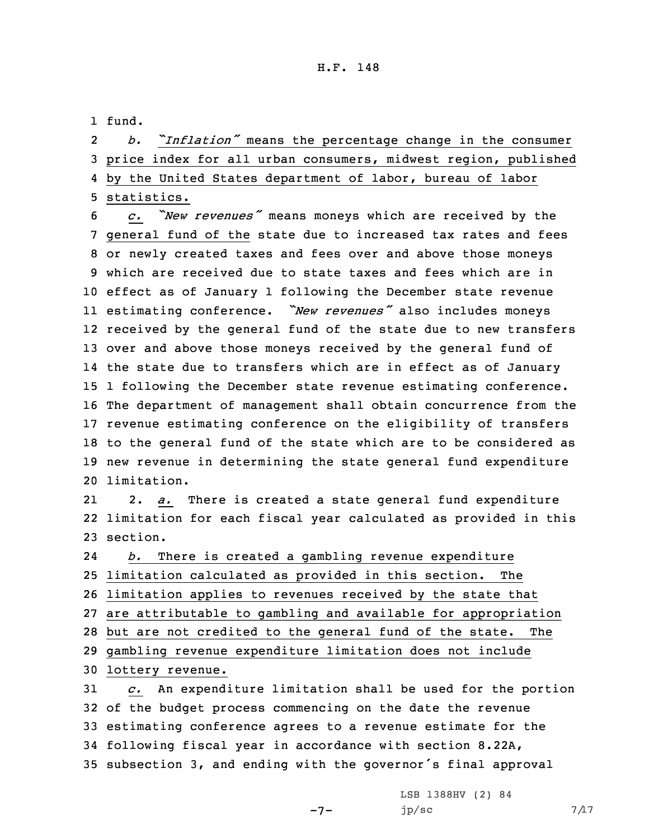1 fund.

| $2^{\circ}$ |                                                                  | b. "Inflation" means the percentage change in the consumer |  |  |  |  |  |  |
|-------------|------------------------------------------------------------------|------------------------------------------------------------|--|--|--|--|--|--|
|             | 3 price index for all urban consumers, midwest region, published |                                                            |  |  |  |  |  |  |
|             | 4 by the United States department of labor, bureau of labor      |                                                            |  |  |  |  |  |  |
|             | 5 statistics.                                                    |                                                            |  |  |  |  |  |  |

 *c. "New revenues"* means moneys which are received by the general fund of the state due to increased tax rates and fees or newly created taxes and fees over and above those moneys which are received due to state taxes and fees which are in effect as of January 1 following the December state revenue estimating conference. *"New revenues"* also includes moneys received by the general fund of the state due to new transfers over and above those moneys received by the general fund of the state due to transfers which are in effect as of January 1 following the December state revenue estimating conference. The department of management shall obtain concurrence from the revenue estimating conference on the eligibility of transfers to the general fund of the state which are to be considered as new revenue in determining the state general fund expenditure limitation.

21 2. *a.* There is created <sup>a</sup> state general fund expenditure 22 limitation for each fiscal year calculated as provided in this 23 section.

24 *b.* There is created <sup>a</sup> gambling revenue expenditure limitation calculated as provided in this section. The limitation applies to revenues received by the state that are attributable to gambling and available for appropriation but are not credited to the general fund of the state. The gambling revenue expenditure limitation does not include lottery revenue.

 *c.* An expenditure limitation shall be used for the portion of the budget process commencing on the date the revenue estimating conference agrees to <sup>a</sup> revenue estimate for the following fiscal year in accordance with section 8.22A, subsection 3, and ending with the governor's final approval

 $-7-$ 

LSB 1388HV (2) 84  $jp/sec$  7/17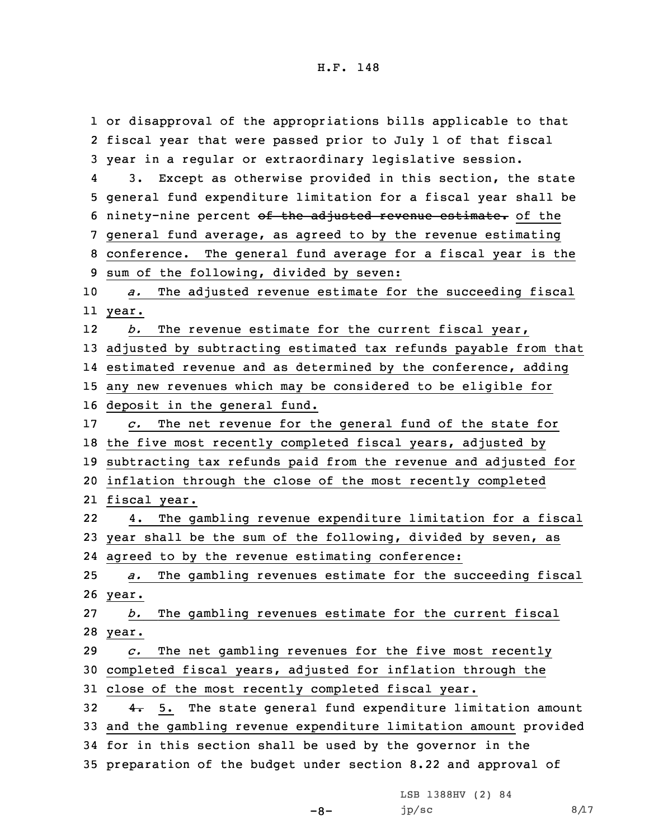or disapproval of the appropriations bills applicable to that fiscal year that were passed prior to July 1 of that fiscal year in <sup>a</sup> regular or extraordinary legislative session. 4 3. Except as otherwise provided in this section, the state general fund expenditure limitation for <sup>a</sup> fiscal year shall be 6 ninety-nine percent of the adjusted revenue estimate. of the general fund average, as agreed to by the revenue estimating conference. The general fund average for <sup>a</sup> fiscal year is the sum of the following, divided by seven: *a.* The adjusted revenue estimate for the succeeding fiscal 11 year. 12 *b.* The revenue estimate for the current fiscal year, adjusted by subtracting estimated tax refunds payable from that estimated revenue and as determined by the conference, adding any new revenues which may be considered to be eligible for deposit in the general fund. *c.* The net revenue for the general fund of the state for the five most recently completed fiscal years, adjusted by subtracting tax refunds paid from the revenue and adjusted for inflation through the close of the most recently completed fiscal year. 22 4. The gambling revenue expenditure limitation for <sup>a</sup> fiscal year shall be the sum of the following, divided by seven, as agreed to by the revenue estimating conference: *a.* The gambling revenues estimate for the succeeding fiscal 26 year. *b.* The gambling revenues estimate for the current fiscal 28 year. *c.* The net gambling revenues for the five most recently completed fiscal years, adjusted for inflation through the close of the most recently completed fiscal year.  $4.5.$  The state general fund expenditure limitation amount and the gambling revenue expenditure limitation amount provided for in this section shall be used by the governor in the preparation of the budget under section 8.22 and approval of

-8-

LSB 1388HV (2) 84 jp/sc  $8/17$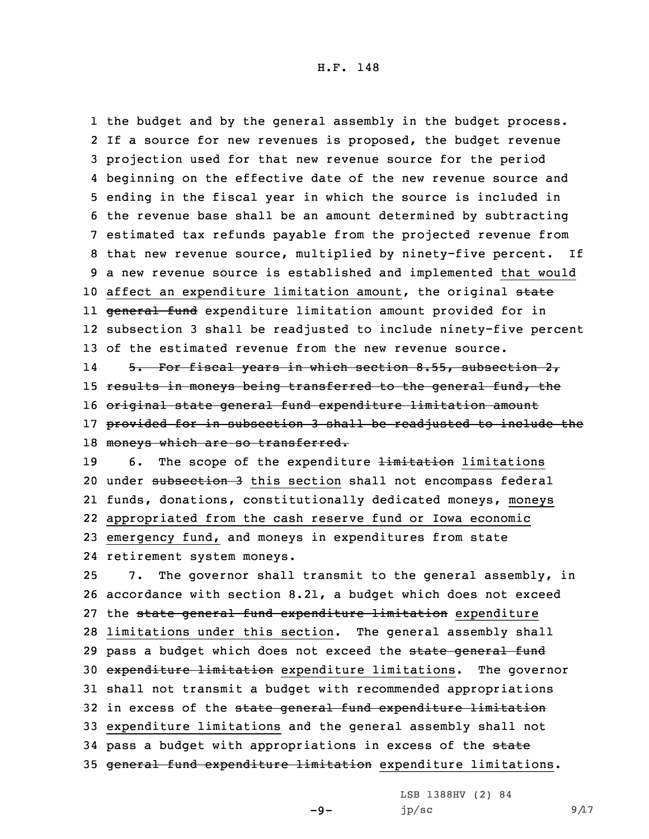1 the budget and by the general assembly in the budget process. 2 If <sup>a</sup> source for new revenues is proposed, the budget revenue 3 projection used for that new revenue source for the period 4 beginning on the effective date of the new revenue source and 5 ending in the fiscal year in which the source is included in 6 the revenue base shall be an amount determined by subtracting 7 estimated tax refunds payable from the projected revenue from 8 that new revenue source, multiplied by ninety-five percent. If 9 <sup>a</sup> new revenue source is established and implemented that would 10 affect an expenditure limitation amount, the original state ll <del>general fund</del> expenditure limitation amount provided for in 12 subsection 3 shall be readjusted to include ninety-five percent 13 of the estimated revenue from the new revenue source. 14 5. For fiscal years in which section 8.55, subsection 2, 15 results in moneys being transferred to the general fund, the 16 original state general fund expenditure limitation amount 17 provided for in subsection 3 shall be readjusted to include the 18 moneys which are so transferred.

19 6. The scope of the expenditure  $\frac{1 \text{ } in \text{ } if \text{ } }$  limitations 20 under subsection 3 this section shall not encompass federal funds, donations, constitutionally dedicated moneys, moneys appropriated from the cash reserve fund or Iowa economic emergency fund, and moneys in expenditures from state retirement system moneys.

 7. The governor shall transmit to the general assembly, in accordance with section 8.21, <sup>a</sup> budget which does not exceed 27 the state general fund expenditure limitation expenditure limitations under this section. The general assembly shall 29 pass a budget which does not exceed the state general fund expenditure limitation expenditure limitations. The governor shall not transmit <sup>a</sup> budget with recommended appropriations 32 in excess of the state general fund expenditure limitation expenditure limitations and the general assembly shall not 34 pass a budget with appropriations in excess of the state general fund expenditure limitation expenditure limitations.

-9-

LSB 1388HV (2) 84 jp/sc 9 $\Lambda$ 7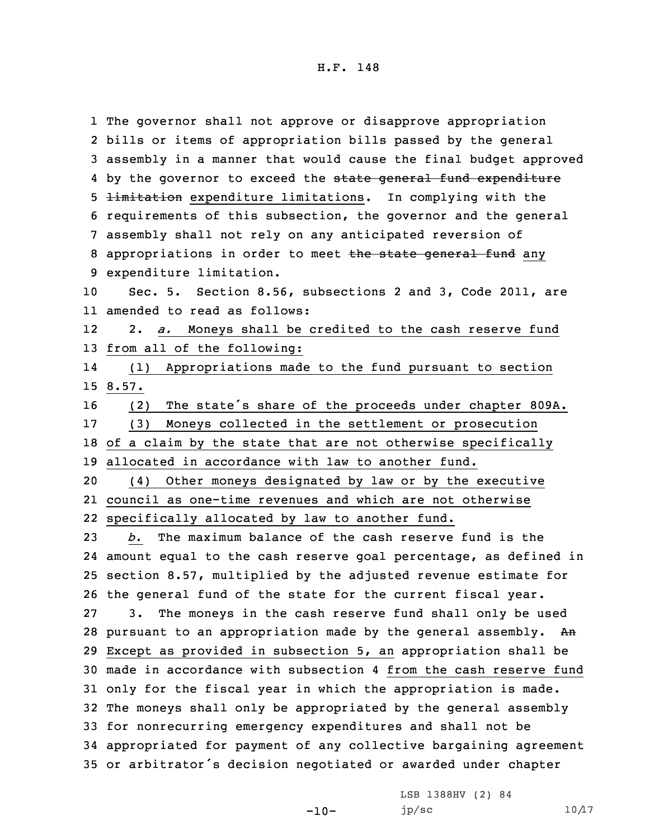The governor shall not approve or disapprove appropriation bills or items of appropriation bills passed by the general assembly in <sup>a</sup> manner that would cause the final budget approved 4 by the governor to exceed the <del>state general fund expenditure</del> 5 <del>limitation</del> expenditure limitations. In complying with the requirements of this subsection, the governor and the general assembly shall not rely on any anticipated reversion of 8 appropriations in order to meet the state general fund any expenditure limitation. Sec. 5. Section 8.56, subsections 2 and 3, Code 2011, are amended to read as follows: 12 2. *a.* Moneys shall be credited to the cash reserve fund from all of the following: 14 (1) Appropriations made to the fund pursuant to section 15 8.57. (2) The state's share of the proceeds under chapter 809A. (3) Moneys collected in the settlement or prosecution of <sup>a</sup> claim by the state that are not otherwise specifically allocated in accordance with law to another fund. (4) Other moneys designated by law or by the executive council as one-time revenues and which are not otherwise specifically allocated by law to another fund. *b.* The maximum balance of the cash reserve fund is the amount equal to the cash reserve goal percentage, as defined in section 8.57, multiplied by the adjusted revenue estimate for the general fund of the state for the current fiscal year. 3. The moneys in the cash reserve fund shall only be used 28 pursuant to an appropriation made by the general assembly. An Except as provided in subsection 5, an appropriation shall be made in accordance with subsection 4 from the cash reserve fund only for the fiscal year in which the appropriation is made. The moneys shall only be appropriated by the general assembly for nonrecurring emergency expenditures and shall not be appropriated for payment of any collective bargaining agreement or arbitrator's decision negotiated or awarded under chapter

 $-10-$ 

LSB 1388HV (2) 84  $jp/sec$  10/17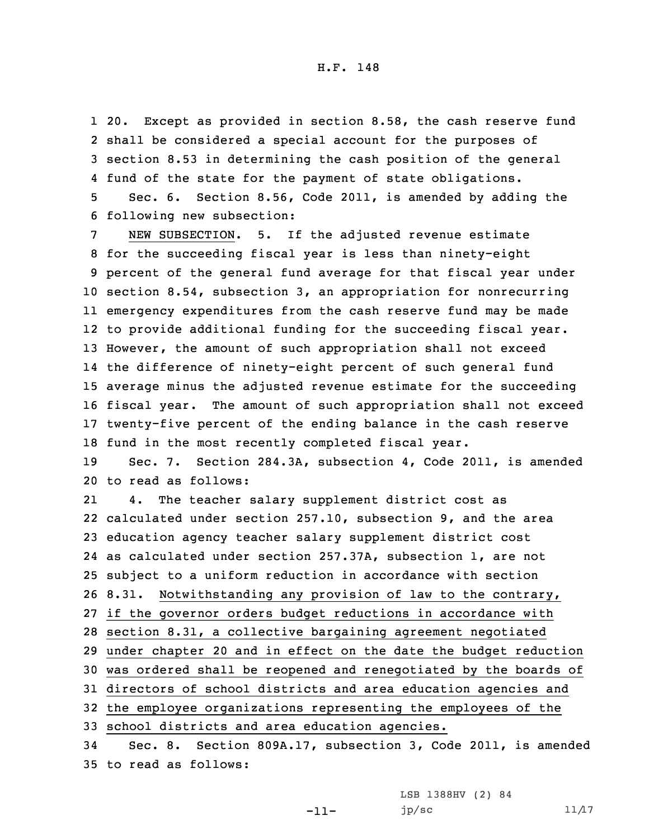20. Except as provided in section 8.58, the cash reserve fund shall be considered <sup>a</sup> special account for the purposes of section 8.53 in determining the cash position of the general fund of the state for the payment of state obligations. Sec. 6. Section 8.56, Code 2011, is amended by adding the following new subsection:

 NEW SUBSECTION. 5. If the adjusted revenue estimate for the succeeding fiscal year is less than ninety-eight percent of the general fund average for that fiscal year under section 8.54, subsection 3, an appropriation for nonrecurring emergency expenditures from the cash reserve fund may be made to provide additional funding for the succeeding fiscal year. However, the amount of such appropriation shall not exceed the difference of ninety-eight percent of such general fund average minus the adjusted revenue estimate for the succeeding fiscal year. The amount of such appropriation shall not exceed twenty-five percent of the ending balance in the cash reserve fund in the most recently completed fiscal year.

19 Sec. 7. Section 284.3A, subsection 4, Code 2011, is amended 20 to read as follows:

21 4. The teacher salary supplement district cost as calculated under section 257.10, subsection 9, and the area education agency teacher salary supplement district cost as calculated under section 257.37A, subsection 1, are not subject to <sup>a</sup> uniform reduction in accordance with section 8.31. Notwithstanding any provision of law to the contrary, if the governor orders budget reductions in accordance with section 8.31, <sup>a</sup> collective bargaining agreement negotiated under chapter 20 and in effect on the date the budget reduction was ordered shall be reopened and renegotiated by the boards of directors of school districts and area education agencies and the employee organizations representing the employees of the school districts and area education agencies. Sec. 8. Section 809A.17, subsection 3, Code 2011, is amended

35 to read as follows:

LSB 1388HV (2) 84

 $jp/sec$  11/17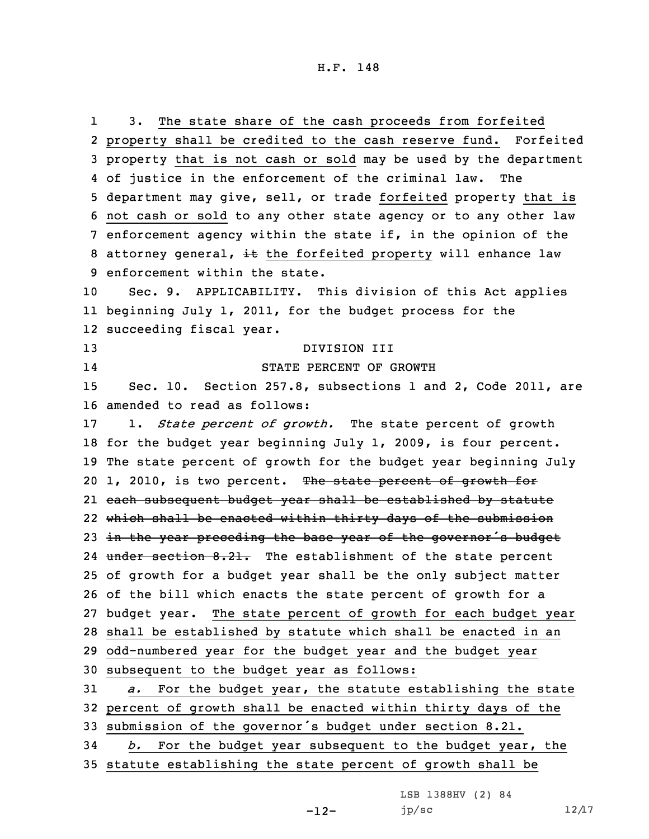1 3. The state share of the cash proceeds from forfeited property shall be credited to the cash reserve fund. Forfeited property that is not cash or sold may be used by the department of justice in the enforcement of the criminal law. The department may give, sell, or trade forfeited property that is not cash or sold to any other state agency or to any other law enforcement agency within the state if, in the opinion of the 8 attorney general,  $\pm t$  the forfeited property will enhance law enforcement within the state. Sec. 9. APPLICABILITY. This division of this Act applies beginning July 1, 2011, for the budget process for the succeeding fiscal year. DIVISION III 14 STATE PERCENT OF GROWTH Sec. 10. Section 257.8, subsections 1 and 2, Code 2011, are amended to read as follows: 1. *State percent of growth.* The state percent of growth for the budget year beginning July 1, 2009, is four percent. The state percent of growth for the budget year beginning July 20 1, 2010, is two percent. The state percent of growth for each subsequent budget year shall be established by statute which shall be enacted within thirty days of the submission 23 in the year preceding the base year of the governor's budget 24 under section 8.21. The establishment of the state percent of growth for <sup>a</sup> budget year shall be the only subject matter of the bill which enacts the state percent of growth for <sup>a</sup> budget year. The state percent of growth for each budget year shall be established by statute which shall be enacted in an odd-numbered year for the budget year and the budget year subsequent to the budget year as follows: *a.* For the budget year, the statute establishing the state percent of growth shall be enacted within thirty days of the submission of the governor's budget under section 8.21. *b.* For the budget year subsequent to the budget year, the statute establishing the state percent of growth shall be

LSB 1388HV (2) 84

jp/sc  $12/17$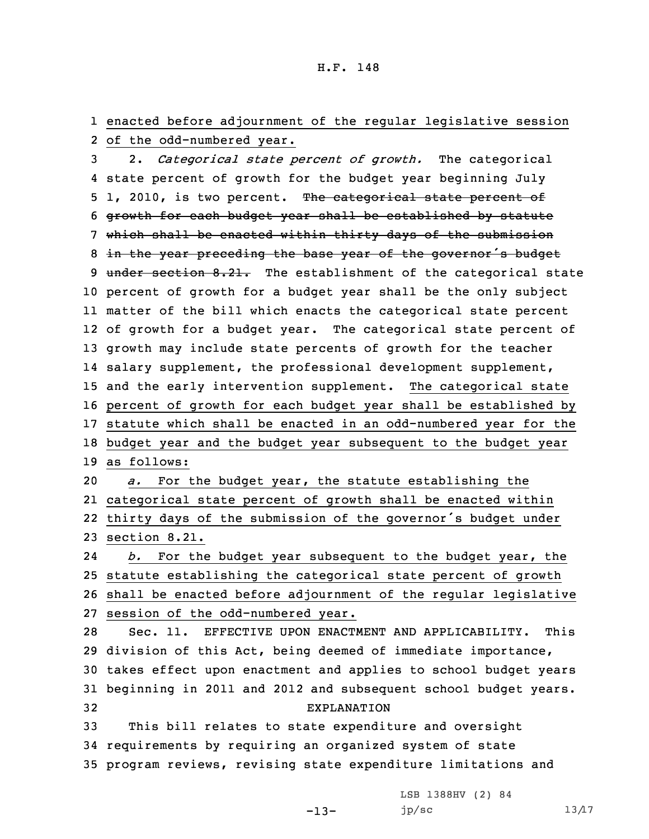1 enacted before adjournment of the regular legislative session 2 of the odd-numbered year.

 2. *Categorical state percent of growth.* The categorical state percent of growth for the budget year beginning July 5 1, 2010, is two percent. The categorical state percent of growth for each budget year shall be established by statute which shall be enacted within thirty days of the submission 8 in the year preceding the base year of the governor's budget 9 under section 8.21. The establishment of the categorical state percent of growth for <sup>a</sup> budget year shall be the only subject matter of the bill which enacts the categorical state percent of growth for <sup>a</sup> budget year. The categorical state percent of growth may include state percents of growth for the teacher salary supplement, the professional development supplement, and the early intervention supplement. The categorical state percent of growth for each budget year shall be established by statute which shall be enacted in an odd-numbered year for the budget year and the budget year subsequent to the budget year as follows: *a.* For the budget year, the statute establishing the categorical state percent of growth shall be enacted within thirty days of the submission of the governor's budget under section 8.21. 24 *b.* For the budget year subsequent to the budget year, the statute establishing the categorical state percent of growth shall be enacted before adjournment of the regular legislative session of the odd-numbered year. Sec. 11. EFFECTIVE UPON ENACTMENT AND APPLICABILITY. This division of this Act, being deemed of immediate importance, takes effect upon enactment and applies to school budget years beginning in 2011 and 2012 and subsequent school budget years. EXPLANATION This bill relates to state expenditure and oversight requirements by requiring an organized system of state program reviews, revising state expenditure limitations and

LSB 1388HV (2) 84

-13-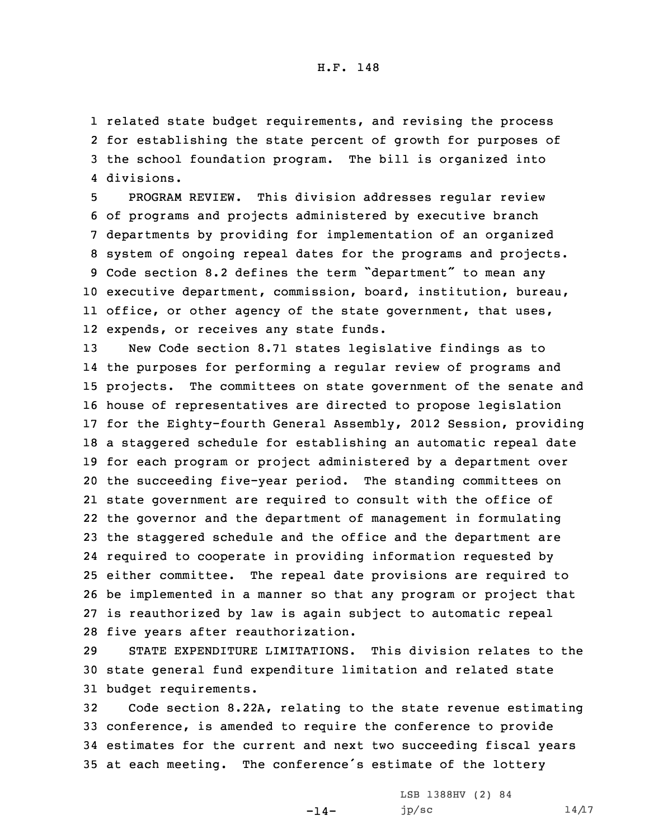related state budget requirements, and revising the process for establishing the state percent of growth for purposes of the school foundation program. The bill is organized into divisions.

 PROGRAM REVIEW. This division addresses regular review of programs and projects administered by executive branch departments by providing for implementation of an organized system of ongoing repeal dates for the programs and projects. Code section 8.2 defines the term "department" to mean any executive department, commission, board, institution, bureau, office, or other agency of the state government, that uses, expends, or receives any state funds.

 New Code section 8.71 states legislative findings as to the purposes for performing <sup>a</sup> regular review of programs and projects. The committees on state government of the senate and house of representatives are directed to propose legislation for the Eighty-fourth General Assembly, 2012 Session, providing <sup>a</sup> staggered schedule for establishing an automatic repeal date for each program or project administered by <sup>a</sup> department over the succeeding five-year period. The standing committees on state government are required to consult with the office of the governor and the department of management in formulating the staggered schedule and the office and the department are required to cooperate in providing information requested by either committee. The repeal date provisions are required to be implemented in <sup>a</sup> manner so that any program or project that is reauthorized by law is again subject to automatic repeal five years after reauthorization.

29 STATE EXPENDITURE LIMITATIONS. This division relates to the 30 state general fund expenditure limitation and related state 31 budget requirements.

 Code section 8.22A, relating to the state revenue estimating conference, is amended to require the conference to provide estimates for the current and next two succeeding fiscal years at each meeting. The conference's estimate of the lottery

 $-14-$ 

LSB 1388HV (2) 84 jp/sc  $14/17$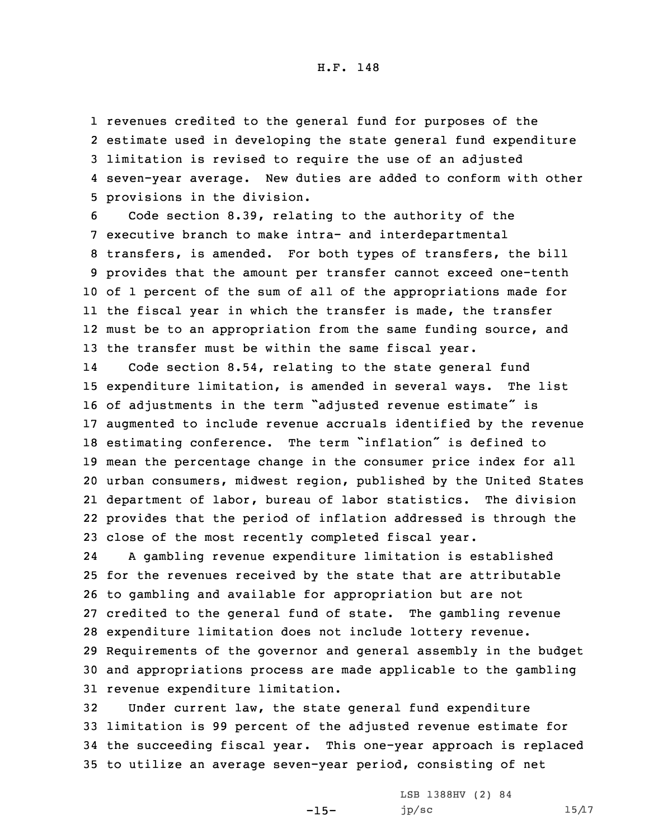revenues credited to the general fund for purposes of the estimate used in developing the state general fund expenditure limitation is revised to require the use of an adjusted seven-year average. New duties are added to conform with other provisions in the division.

 Code section 8.39, relating to the authority of the executive branch to make intra- and interdepartmental transfers, is amended. For both types of transfers, the bill provides that the amount per transfer cannot exceed one-tenth of 1 percent of the sum of all of the appropriations made for the fiscal year in which the transfer is made, the transfer 12 must be to an appropriation from the same funding source, and the transfer must be within the same fiscal year.

14 Code section 8.54, relating to the state general fund expenditure limitation, is amended in several ways. The list of adjustments in the term "adjusted revenue estimate" is augmented to include revenue accruals identified by the revenue estimating conference. The term "inflation" is defined to mean the percentage change in the consumer price index for all urban consumers, midwest region, published by the United States department of labor, bureau of labor statistics. The division provides that the period of inflation addressed is through the close of the most recently completed fiscal year.

24 <sup>A</sup> gambling revenue expenditure limitation is established for the revenues received by the state that are attributable to gambling and available for appropriation but are not credited to the general fund of state. The gambling revenue expenditure limitation does not include lottery revenue. Requirements of the governor and general assembly in the budget and appropriations process are made applicable to the gambling revenue expenditure limitation.

 Under current law, the state general fund expenditure limitation is 99 percent of the adjusted revenue estimate for the succeeding fiscal year. This one-year approach is replaced to utilize an average seven-year period, consisting of net

-15-

LSB 1388HV (2) 84 jp/sc  $15/17$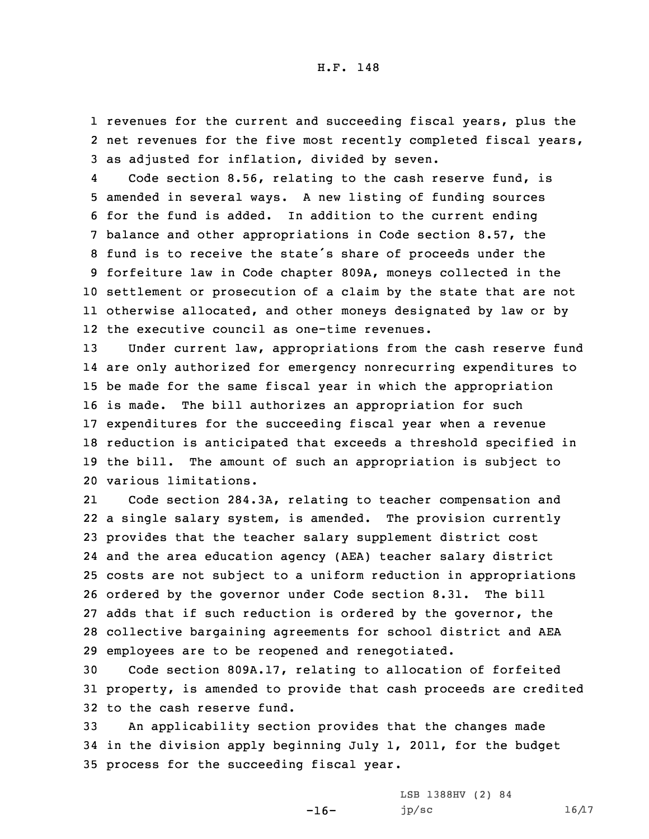1 revenues for the current and succeeding fiscal years, plus the 2 net revenues for the five most recently completed fiscal years, 3 as adjusted for inflation, divided by seven.

4 Code section 8.56, relating to the cash reserve fund, is amended in several ways. <sup>A</sup> new listing of funding sources for the fund is added. In addition to the current ending balance and other appropriations in Code section 8.57, the fund is to receive the state's share of proceeds under the forfeiture law in Code chapter 809A, moneys collected in the settlement or prosecution of <sup>a</sup> claim by the state that are not otherwise allocated, and other moneys designated by law or by the executive council as one-time revenues.

13 Under current law, appropriations from the cash reserve fund are only authorized for emergency nonrecurring expenditures to be made for the same fiscal year in which the appropriation is made. The bill authorizes an appropriation for such expenditures for the succeeding fiscal year when <sup>a</sup> revenue reduction is anticipated that exceeds <sup>a</sup> threshold specified in the bill. The amount of such an appropriation is subject to various limitations.

21 Code section 284.3A, relating to teacher compensation and <sup>a</sup> single salary system, is amended. The provision currently provides that the teacher salary supplement district cost and the area education agency (AEA) teacher salary district costs are not subject to <sup>a</sup> uniform reduction in appropriations ordered by the governor under Code section 8.31. The bill adds that if such reduction is ordered by the governor, the collective bargaining agreements for school district and AEA employees are to be reopened and renegotiated.

30 Code section 809A.17, relating to allocation of forfeited 31 property, is amended to provide that cash proceeds are credited 32 to the cash reserve fund.

33 An applicability section provides that the changes made 34 in the division apply beginning July 1, 2011, for the budget 35 process for the succeeding fiscal year.

-16-

LSB 1388HV (2) 84 jp/sc  $16/17$